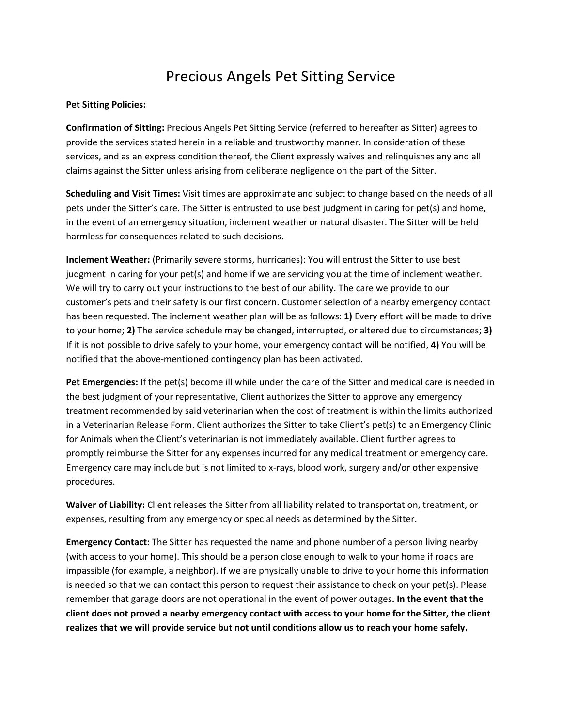## Precious Angels Pet Sitting Service

## Pet Sitting Policies:

Confirmation of Sitting: Precious Angels Pet Sitting Service (referred to hereafter as Sitter) agrees to provide the services stated herein in a reliable and trustworthy manner. In consideration of these services, and as an express condition thereof, the Client expressly waives and relinquishes any and all claims against the Sitter unless arising from deliberate negligence on the part of the Sitter.

Scheduling and Visit Times: Visit times are approximate and subject to change based on the needs of all pets under the Sitter's care. The Sitter is entrusted to use best judgment in caring for pet(s) and home, in the event of an emergency situation, inclement weather or natural disaster. The Sitter will be held harmless for consequences related to such decisions.

Inclement Weather: (Primarily severe storms, hurricanes): You will entrust the Sitter to use best judgment in caring for your pet(s) and home if we are servicing you at the time of inclement weather. We will try to carry out your instructions to the best of our ability. The care we provide to our customer's pets and their safety is our first concern. Customer selection of a nearby emergency contact has been requested. The inclement weather plan will be as follows: 1) Every effort will be made to drive to your home; 2) The service schedule may be changed, interrupted, or altered due to circumstances; 3) If it is not possible to drive safely to your home, your emergency contact will be notified, 4) You will be notified that the above-mentioned contingency plan has been activated.

Pet Emergencies: If the pet(s) become ill while under the care of the Sitter and medical care is needed in the best judgment of your representative, Client authorizes the Sitter to approve any emergency treatment recommended by said veterinarian when the cost of treatment is within the limits authorized in a Veterinarian Release Form. Client authorizes the Sitter to take Client's pet(s) to an Emergency Clinic for Animals when the Client's veterinarian is not immediately available. Client further agrees to promptly reimburse the Sitter for any expenses incurred for any medical treatment or emergency care. Emergency care may include but is not limited to x-rays, blood work, surgery and/or other expensive procedures.

Waiver of Liability: Client releases the Sitter from all liability related to transportation, treatment, or expenses, resulting from any emergency or special needs as determined by the Sitter.

**Emergency Contact:** The Sitter has requested the name and phone number of a person living nearby (with access to your home). This should be a person close enough to walk to your home if roads are impassible (for example, a neighbor). If we are physically unable to drive to your home this information is needed so that we can contact this person to request their assistance to check on your pet(s). Please remember that garage doors are not operational in the event of power outages. In the event that the client does not proved a nearby emergency contact with access to your home for the Sitter, the client realizes that we will provide service but not until conditions allow us to reach your home safely.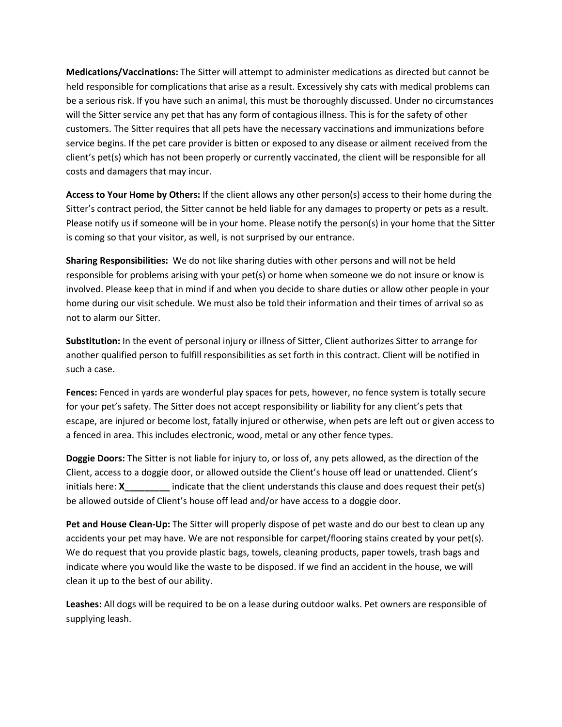Medications/Vaccinations: The Sitter will attempt to administer medications as directed but cannot be held responsible for complications that arise as a result. Excessively shy cats with medical problems can be a serious risk. If you have such an animal, this must be thoroughly discussed. Under no circumstances will the Sitter service any pet that has any form of contagious illness. This is for the safety of other customers. The Sitter requires that all pets have the necessary vaccinations and immunizations before service begins. If the pet care provider is bitten or exposed to any disease or ailment received from the client's pet(s) which has not been properly or currently vaccinated, the client will be responsible for all costs and damagers that may incur.

Access to Your Home by Others: If the client allows any other person(s) access to their home during the Sitter's contract period, the Sitter cannot be held liable for any damages to property or pets as a result. Please notify us if someone will be in your home. Please notify the person(s) in your home that the Sitter is coming so that your visitor, as well, is not surprised by our entrance.

Sharing Responsibilities: We do not like sharing duties with other persons and will not be held responsible for problems arising with your pet(s) or home when someone we do not insure or know is involved. Please keep that in mind if and when you decide to share duties or allow other people in your home during our visit schedule. We must also be told their information and their times of arrival so as not to alarm our Sitter.

Substitution: In the event of personal injury or illness of Sitter, Client authorizes Sitter to arrange for another qualified person to fulfill responsibilities as set forth in this contract. Client will be notified in such a case.

Fences: Fenced in yards are wonderful play spaces for pets, however, no fence system is totally secure for your pet's safety. The Sitter does not accept responsibility or liability for any client's pets that escape, are injured or become lost, fatally injured or otherwise, when pets are left out or given access to a fenced in area. This includes electronic, wood, metal or any other fence types.

Doggie Doors: The Sitter is not liable for injury to, or loss of, any pets allowed, as the direction of the Client, access to a doggie door, or allowed outside the Client's house off lead or unattended. Client's initials here: **X**\_\_\_\_\_\_\_\_\_\_ indicate that the client understands this clause and does request their pet(s) be allowed outside of Client's house off lead and/or have access to a doggie door.

Pet and House Clean-Up: The Sitter will properly dispose of pet waste and do our best to clean up any accidents your pet may have. We are not responsible for carpet/flooring stains created by your pet(s). We do request that you provide plastic bags, towels, cleaning products, paper towels, trash bags and indicate where you would like the waste to be disposed. If we find an accident in the house, we will clean it up to the best of our ability.

Leashes: All dogs will be required to be on a lease during outdoor walks. Pet owners are responsible of supplying leash.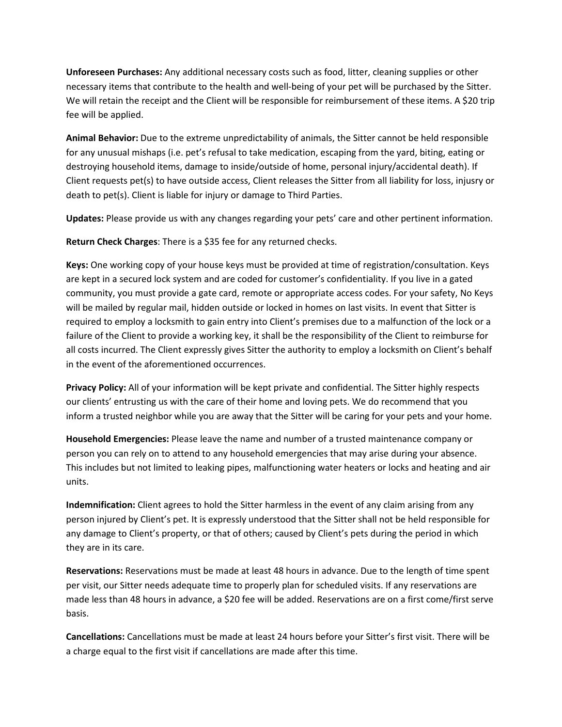Unforeseen Purchases: Any additional necessary costs such as food, litter, cleaning supplies or other necessary items that contribute to the health and well-being of your pet will be purchased by the Sitter. We will retain the receipt and the Client will be responsible for reimbursement of these items. A \$20 trip fee will be applied.

Animal Behavior: Due to the extreme unpredictability of animals, the Sitter cannot be held responsible for any unusual mishaps (i.e. pet's refusal to take medication, escaping from the yard, biting, eating or destroying household items, damage to inside/outside of home, personal injury/accidental death). If Client requests pet(s) to have outside access, Client releases the Sitter from all liability for loss, injusry or death to pet(s). Client is liable for injury or damage to Third Parties.

Updates: Please provide us with any changes regarding your pets' care and other pertinent information.

Return Check Charges: There is a \$35 fee for any returned checks.

Keys: One working copy of your house keys must be provided at time of registration/consultation. Keys are kept in a secured lock system and are coded for customer's confidentiality. If you live in a gated community, you must provide a gate card, remote or appropriate access codes. For your safety, No Keys will be mailed by regular mail, hidden outside or locked in homes on last visits. In event that Sitter is required to employ a locksmith to gain entry into Client's premises due to a malfunction of the lock or a failure of the Client to provide a working key, it shall be the responsibility of the Client to reimburse for all costs incurred. The Client expressly gives Sitter the authority to employ a locksmith on Client's behalf in the event of the aforementioned occurrences.

Privacy Policy: All of your information will be kept private and confidential. The Sitter highly respects our clients' entrusting us with the care of their home and loving pets. We do recommend that you inform a trusted neighbor while you are away that the Sitter will be caring for your pets and your home.

Household Emergencies: Please leave the name and number of a trusted maintenance company or person you can rely on to attend to any household emergencies that may arise during your absence. This includes but not limited to leaking pipes, malfunctioning water heaters or locks and heating and air units.

Indemnification: Client agrees to hold the Sitter harmless in the event of any claim arising from any person injured by Client's pet. It is expressly understood that the Sitter shall not be held responsible for any damage to Client's property, or that of others; caused by Client's pets during the period in which they are in its care.

Reservations: Reservations must be made at least 48 hours in advance. Due to the length of time spent per visit, our Sitter needs adequate time to properly plan for scheduled visits. If any reservations are made less than 48 hours in advance, a \$20 fee will be added. Reservations are on a first come/first serve basis.

Cancellations: Cancellations must be made at least 24 hours before your Sitter's first visit. There will be a charge equal to the first visit if cancellations are made after this time.